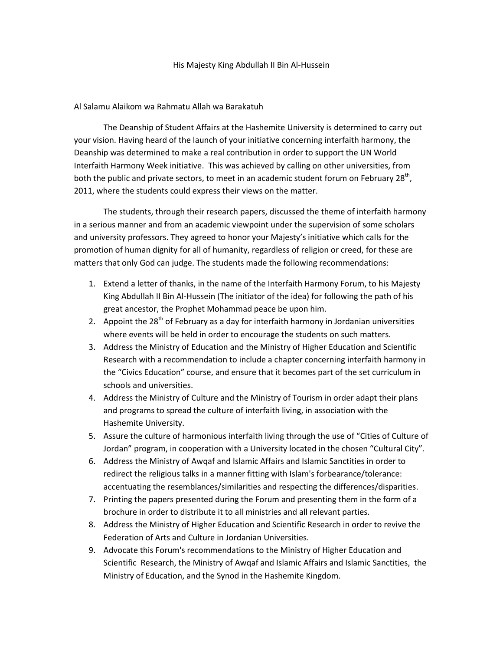## His Majesty King Abdullah II Bin Al-Hussein

## Al Salamu Alaikom wa Rahmatu Allah wa Barakatuh

The Deanship of Student Affairs at the Hashemite University is determined to carry out your vision. Having heard of the launch of your initiative concerning interfaith harmony, the Deanship was determined to make a real contribution in order to support the UN World Interfaith Harmony Week initiative. This was achieved by calling on other universities, from both the public and private sectors, to meet in an academic student forum on February 28<sup>th</sup>, 2011, where the students could express their views on the matter.

The students, through their research papers, discussed the theme of interfaith harmony in a serious manner and from an academic viewpoint under the supervision of some scholars and university professors. They agreed to honor your Majesty's initiative which calls for the promotion of human dignity for all of humanity, regardless of religion or creed, for these are matters that only God can judge. The students made the following recommendations:

- 1. Extend a letter of thanks, in the name of the Interfaith Harmony Forum, to his Majesty King Abdullah II Bin Al-Hussein (The initiator of the idea) for following the path of his great ancestor, the Prophet Mohammad peace be upon him.
- 2. Appoint the  $28<sup>th</sup>$  of February as a day for interfaith harmony in Jordanian universities where events will be held in order to encourage the students on such matters.
- 3. Address the Ministry of Education and the Ministry of Higher Education and Scientific Research with a recommendation to include a chapter concerning interfaith harmony in the "Civics Education" course, and ensure that it becomes part of the set curriculum in schools and universities.
- 4. Address the Ministry of Culture and the Ministry of Tourism in order adapt their plans and programs to spread the culture of interfaith living, in association with the Hashemite University.
- 5. Assure the culture of harmonious interfaith living through the use of "Cities of Culture of Jordan" program, in cooperation with a University located in the chosen "Cultural City".
- 6. Address the Ministry of Awqaf and Islamic Affairs and Islamic Sanctities in order to redirect the religious talks in a manner fitting with Islam's forbearance/tolerance: accentuating the resemblances/similarities and respecting the differences/disparities.
- 7. Printing the papers presented during the Forum and presenting them in the form of a brochure in order to distribute it to all ministries and all relevant parties.
- 8. Address the Ministry of Higher Education and Scientific Research in order to revive the Federation of Arts and Culture in Jordanian Universities.
- 9. Advocate this Forum's recommendations to the Ministry of Higher Education and Scientific Research, the Ministry of Awqaf and Islamic Affairs and Islamic Sanctities, the Ministry of Education, and the Synod in the Hashemite Kingdom.